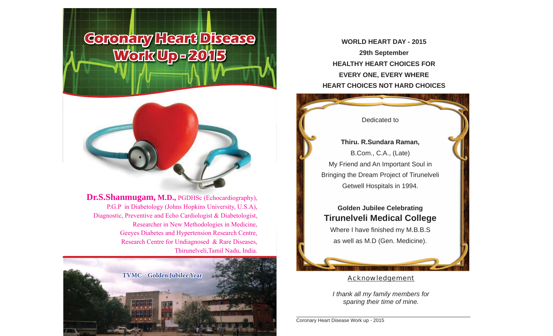# **Coronary Heart Disease Work Up - 2015**



**Dr.S.Shanmugam, M.D.,** PGDHSc (Echocardiography), P.G.P in Diabetology (Johns Hopkins University, U.S.A), Diagnostic, Preventive and Echo Cardiologist & Diabetologist, Researcher in New Methodologies in Medicine, Geeyes Diabetes and Hypertension Research Centre, Research Centre for Undiagnosed & Rare Diseases, Thirunelveli,Tamil Nadu, India.



**WORLD HEART DAY - 201529th September HEALTHY HEART CHOICES FOR EVERY ONE, EVERY WHERE HEART CHOICES NOT HARD CHOICES**



**Tirunelveli Medical College** Where I have finished my M.B.B.S as well as M.D (Gen. Medicine).

#### Acknowledgement

*I thank all my family members for sparing their time of mine.*

Coronary Heart Disease Work up - 2015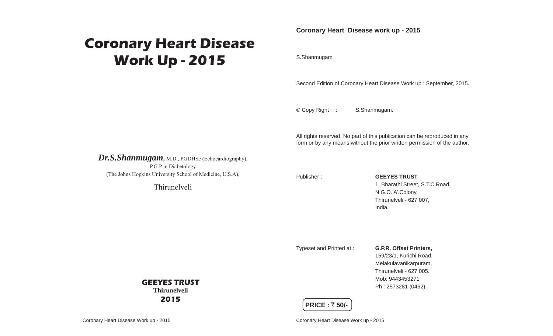## **Coronary Heart Disease Work Up - 2015**

**Coronary Heart Disease work up - 2015**

S.Shanmugam

Second Edition of Coronary Heart Disease Work up : September, 2015.

© Copy Right : S.Shanmugam.

All rights reserved. No part of this publication can be reproduced in any form or by any means without the prior written permission of the author.

*Dr.S.Shanmugam*, M.D., PGDHSc (Echocardiography), P.G.P in Diabetology (The Johns Hopkins University School of Medicine, U.S.A),

Thirunelveli

**GEEYES TRUSTThirunelveli2015**

Publisher : **GEEYES TRUST** 1, Bharathi Street, S.T.C.Road, N,G.O.'A'.Colony, Thirunelveli - 627 007, India.

Typeset and Printed at : **G.P.R. Offset Printers,**

 159/23/1, Kurichi Road, Melakulavanikarpuram, Thirunelveli - 627 005. Mob: 9443453271Ph : 2573281 (0462)

#### **PRICE : ₹50/-**

Coronary Heart Disease Work up - 2015

Coronary Heart Disease Work up - 2015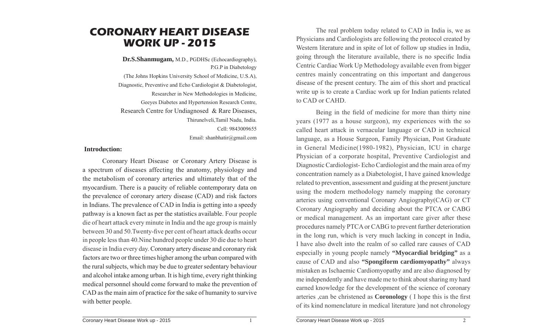### **CORONARY HEART DISEASEWORK UP - 2015**

**Dr.S.Shanmugam,** M.D., PGDHSc (Echocardiography), P.G.P in Diabetology (The Johns Hopkins University School of Medicine, U.S.A), Diagnostic, Preventive and Echo Cardiologist & Diabetologist, Researcher in New Methodologies in Medicine, Geeyes Diabetes and Hypertension Research Centre, Research Centre for Undiagnosed & Rare Diseases, Thirunelveli,Tamil Nadu, India. Cell: 9843009655Email: shanbhatir@gmail.com

#### **Introduction:**

 Coronary Heart Disease or Coronary Artery Disease is a spectrum of diseases affecting the anatomy, physiology and the metabolism of coronary arteries and ultimately that of the myocardium. There is a paucity of reliable contemporary data on the prevalence of coronary artery disease (CAD) and risk factors in Indians. The prevalence of CAD in India is getting into a speedy pathway is a known fact as per the statistics available. Four people die of heart attack every minute in India and the age group is mainly between 30 and 50. Twenty-five per cent of heart attack deaths occur in people less than 40.Nine hundred people under 30 die due to heart disease in India every day. Coronary artery disease and coronary risk factors are two or three times higher among the urban compared with the rural subjects, which may be due to greater sedentary behaviour and alcohol intake among urban. It is high time, every right thinking medical personnel should come forward to make the prevention of CAD as the main aim of practice for the sake of humanity to survive with better people.

 The real problem today related to CAD in India is, we as Physicians and Cardiologists are following the protocol created by Western literature and in spite of lot of follow up studies in India, going through the literature available, there is no specific India Centric Cardiac Work Up Methodology available even from bigger centres mainly concentrating on this important and dangerous disease of the present century. The aim of this short and practical write up is to create a Cardiac work up for Indian patients related to CAD or CAHD.

Being in the field of medicine for more than thirty nine years (1977 as a house surgeon), my experiences with the so called heart attack in vernacular language or CAD in technical language, as a House Surgeon, Family Physician, Post Graduate in General Medicine(1980-1982), Physician, ICU in charge Physician of a corporate hospital, Preventive Cardiologist and Diagnostic Cardiologist- Echo Cardiologist and the main area of my concentration namely as a Diabetologist, I have gained knowledge related to prevention, assessment and guiding at the present juncture using the modern methodology namely mapping the coronary arteries using conventional Coronary Angiography(CAG) or CT Coronary Angiography and deciding about the PTCA or CABG or medical management. As an important care giver after these procedures namely PTCA or CABG to prevent further deterioration in the long run, which is very much lacking in concept in India, I have also dwelt into the realm of so called rare causes of CAD especially in young people namely **"Myocardial bridging"** as a cause of CAD and also **"Spongiform cardiomyopathy"** always mistaken as Ischaemic Cardiomyopathy and are also diagnosed by me independently and have made me to think about sharing my hard earned knowledge for the development of the science of coronary arteries , can be christened as **Coronology** (I hope this is the first of its kind nomenclature in medical literature )and not chronology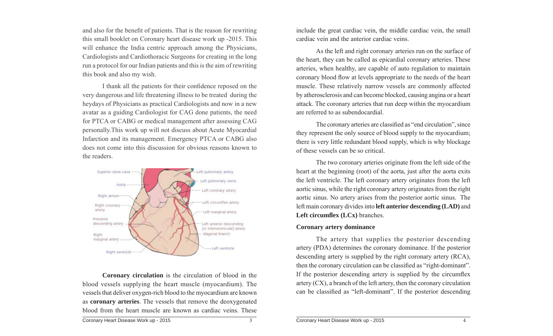and also for the benefit of patients. That is the reason for rewriting this small booklet on Coronary heart disease work up -2015. This will enhance the India centric approach among the Physicians, Cardiologists and Cardiothoracic Surgeons for creating in the long run a protocol for our Indian patients and this is the aim of rewriting this book and also my wish.

I thank all the patients for their confidence reposed on the very dangerous and life threatening illness to be treated during the heydays of Physicians as practical Cardiologists and now in a new avatar as a guiding Cardiologist for CAG done patients, the need for PTCA or CABG or medical management after assessing CAG personally.This work up will not discuss about Acute Myocardial Infarction and its management. Emergency PTCA or CABG also does not come into this discussion for obvious reasons known to the readers.



 **Coronary circulation** is the circulation of blood in the blood vessels supplying the heart muscle (myocardium). The vessels that deliver oxygen-rich blood to the myocardium are known as **coronary arteries**. The vessels that remove the deoxygenated blood from the heart muscle are known as cardiac veins. These include the great cardiac vein, the middle cardiac vein, the small cardiac vein and the anterior cardiac veins.

 As the left and right coronary arteries run on the surface of the heart, they can be called as epicardial coronary arteries. These arteries, when healthy, are capable of auto regulation to maintain coronary blood flow at levels appropriate to the needs of the heart muscle. These relatively narrow vessels are commonly affected by atherosclerosis and can become blocked, causing angina or a heart attack. The coronary arteries that run deep within the myocardium are referred to as subendocardial.

The coronary arteries are classified as "end circulation", since they represent the only source of blood supply to the myocardium; there is very little redundant blood supply, which is why blockage of these vessels can be so critical.

 The two coronary arteries originate from the left side of the heart at the beginning (root) of the aorta, just after the aorta exits the left ventricle. The left coronary artery originates from the left aortic sinus, while the right coronary artery originates from the right aortic sinus. No artery arises from the posterior aortic sinus. The left main coronary divides into **left anterior descending (LAD)** and **Left circumflex** (**LCx**) branches.

#### **Coronary artery dominance**

 The artery that supplies the posterior descending artery (PDA) determines the coronary dominance. If the posterior descending artery is supplied by the right coronary artery (RCA), then the coronary circulation can be classified as "right-dominant". If the posterior descending artery is supplied by the circumflex artery (CX), a branch of the left artery, then the coronary circulation can be classified as "left-dominant". If the posterior descending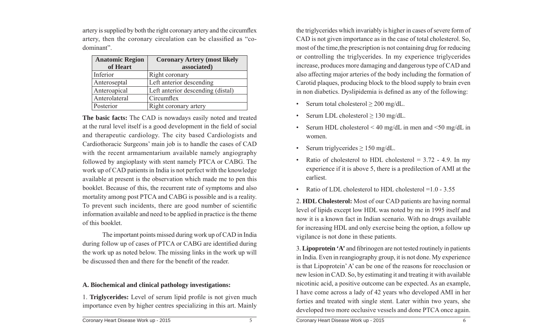artery is supplied by both the right coronary artery and the circumflex artery, then the coronary circulation can be classified as "codominant".

| <b>Anatomic Region</b> | <b>Coronary Artery (most likely</b> |
|------------------------|-------------------------------------|
| of Heart               | associated)                         |
| Inferior               | Right coronary                      |
| Anteroseptal           | Left anterior descending            |
| Anteroapical           | Left anterior descending (distal)   |
| Anterolateral          | Circumflex                          |
| Posterior              | Right coronary artery               |

**The basic facts:** The CAD is nowadays easily noted and treated at the rural level itself is a good development in the field of social and therapeutic cardiology. The city based Cardiologists and Cardiothoracic Surgeons' main job is to handle the cases of CAD with the recent armamentarium available namely angiography followed by angioplasty with stent namely PTCA or CABG. The work up of CAD patients in India is not perfect with the knowledge available at present is the observation which made me to pen this booklet. Because of this, the recurrent rate of symptoms and also mortality among post PTCA and CABG is possible and is a reality. To prevent such incidents, there are good number of scientific information available and need to be applied in practice is the theme of this booklet.

 The important points missed during work up of CAD in India during follow up of cases of PTCA or CABG are identified during the work up as noted below. The missing links in the work up will be discussed then and there for the benefit of the reader.

#### **A. Biochemical and clinical pathology investigations:**

1. **Triglycerides:** Level of serum lipid profile is not given much importance even by higher centres specializing in this art. Mainly

the triglycerides which invariably is higher in cases of severe form of CAD is not given importance as in the case of total cholesterol. So, most of the time,the prescription is not containing drug for reducing or controlling the triglycerides. In my experience triglycerides increase, produces more damaging and dangerous type of CAD and also affecting major arteries of the body including the formation of Carotid plaques, producing block to the blood supply to brain even in non diabetics. Dyslipidemia is defined as any of the following:

- Serum total cholesterol  $\geq 200$  mg/dL.
- Serum LDL cholesterol ≥ 130 mg/dL.
- Serum HDL cholesterol  $\leq 40$  mg/dL in men and  $\leq 50$  mg/dL in women.
- Serum triglycerides  $\geq 150$  mg/dL.
- Ratio of cholesterol to HDL cholesterol  $= 3.72 4.9$ . In my experience if it is above 5, there is a predilection of AMI at the earliest.
- Ratio of LDL cholesterol to HDL cholesterol = 1.0 3.55

2. **HDL Cholesterol:** Most of our CAD patients are having normal level of lipids except low HDL was noted by me in 1995 itself and now it is a known fact in Indian scenario. With no drugs available for increasing HDL and only exercise being the option, a follow up vigilance is not done in these patients.

3. Lipoprotein 'A' and fibrinogen are not tested routinely in patients in India. Even in reangiography group, it is not done. My experience is that Lipoprotein' A' can be one of the reasons for reocclusion or new lesion in CAD. So, by estimating it and treating it with available nicotinic acid, a positive outcome can be expected. As an example, I have come across a lady of 42 years who developed AMI in her forties and treated with single stent. Later within two years, she developed two more occlusive vessels and done PTCA once again.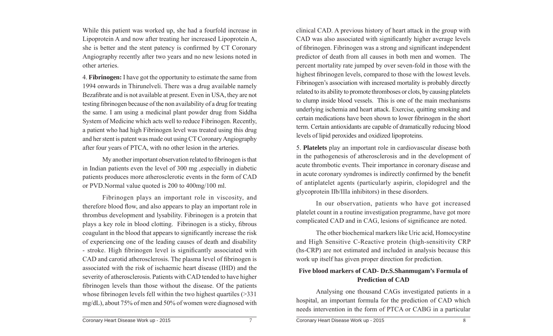While this patient was worked up, she had a fourfold increase in Lipoprotein A and now after treating her increased Lipoprotein A, she is better and the stent patency is confirmed by CT Coronary Angiography recently after two years and no new lesions noted in other arteries.

4. **Fibrinogen:** I have got the opportunity to estimate the same from 1994 onwards in Thirunelveli. There was a drug available namely Bezafibrate and is not available at present. Even in USA, they are not testing fibrinogen because of the non availability of a drug for treating the same. I am using a medicinal plant powder drug from Siddha System of Medicine which acts well to reduce Fibrinogen. Recently, a patient who had high Fibrinogen level was treated using this drug and her stent is patent was made out using CT Coronary Angiography after four years of PTCA, with no other lesion in the arteries.

My another important observation related to fibrinogen is that in Indian patients even the level of 300 mg ,especially in diabetic patients produces more atherosclerotic events in the form of CAD or PVD.Normal value quoted is 200 to 400mg/100 ml.

 Fibrinogen plays an important role in viscosity, and therefore blood flow, and also appears to play an important role in thrombus development and lysability. Fibrinogen is a protein that plays a key role in blood clotting. Fibrinogen is a sticky, fibrous coagulant in the blood that appears to significantly increase the risk of experiencing one of the leading causes of death and disability - stroke. High fibrinogen level is significantly associated with CAD and carotid atherosclerosis. The plasma level of fibrinogen is associated with the risk of ischaemic heart disease (IHD) and the severity of atherosclerosis. Patients with CAD tended to have higher fibrinogen levels than those without the disease. Of the patients whose fibrinogen levels fell within the two highest quartiles  $($ >331 mg/dL), about 75% of men and 50% of women were diagnosed with clinical CAD. A previous history of heart attack in the group with CAD was also associated with significantly higher average levels of fibrinogen. Fibrinogen was a strong and significant independent predictor of death from all causes in both men and women. The percent mortality rate jumped by over seven-fold in those with the highest fibrinogen levels, compared to those with the lowest levels. Fibrinogen's association with increased mortality is probably directly related to its ability to promote thromboses or clots, by causing platelets to clump inside blood vessels. This is one of the main mechanisms underlying ischemia and heart attack. Exercise, quitting smoking and certain medications have been shown to lower fibrinogen in the short term. Certain antioxidants are capable of dramatically reducing blood levels of lipid peroxides and oxidized lipoproteins.

5. **Platelets** play an important role in cardiovascular disease both in the pathogenesis of atherosclerosis and in the development of acute thrombotic events. Their importance in coronary disease and in acute coronary syndromes is indirectly confirmed by the benefit of antiplatelet agents (particularly aspirin, clopidogrel and the glycoprotein IIb/IIIa inhibitors) in these disorders.

 In our observation, patients who have got increased platelet count in a routine investigation programme, have got more complicated CAD and in CAG, lesions of significance are noted.

 The other biochemical markers like Uric acid, Homocystine and High Sensitive C-Reactive protein (high-sensitivity CRP (hs-CRP) are not estimated and included in analysis because this work up itself has given proper direction for prediction.

#### **Five blood markers of CAD- Dr.S.Shanmugam's Formula of Prediction of CAD**

 Analysing one thousand CAGs investigated patients in a hospital, an important formula for the prediction of CAD which needs intervention in the form of PTCA or CABG in a particular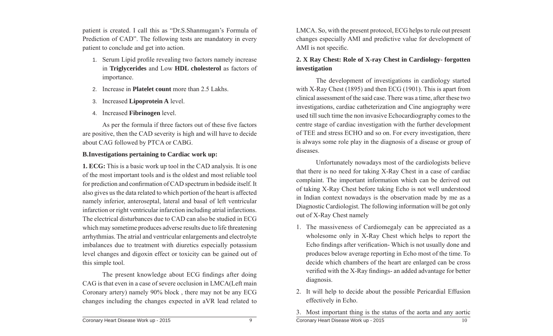patient is created. I call this as "Dr.S.Shanmugam's Formula of Prediction of CAD". The following tests are mandatory in every patient to conclude and get into action.

- 1. Serum Lipid profile revealing two factors namely increase in **Triglycerides** and Low **HDL cholesterol** as factors of importance.
- 2. Increase in **Platelet count** more than 2.5 Lakhs.
- 3. Increased **Lipoprotein A** level.
- 4. Increased **Fibrinogen** level.

As per the formula if three factors out of these five factors are positive, then the CAD severity is high and will have to decide about CAG followed by PTCA or CABG.

#### **B.Investigations pertaining to Cardiac work up:**

**1. ECG:** This is a basic work up tool in the CAD analysis. It is one of the most important tools and is the oldest and most reliable tool for prediction and confirmation of CAD spectrum in bedside itself. It also gives us the data related to which portion of the heart is affected namely inferior, anteroseptal, lateral and basal of left ventricular infarction or right ventricular infarction including atrial infarctions. The electrical disturbances due to CAD can also be studied in ECG which may sometime produces adverse results due to life threatening arrhythmias. The atrial and ventricular enlargements and electrolyte imbalances due to treatment with diuretics especially potassium level changes and digoxin effect or toxicity can be gained out of this simple tool.

The present knowledge about ECG findings after doing CAG is that even in a case of severe occlusion in LMCA(Left main Coronary artery) namely 90% block , there may not be any ECG changes including the changes expected in aVR lead related to

LMCA. So, with the present protocol, ECG helps to rule out present changes especially AMI and predictive value for development of AMI is not specific.

#### **2. X Ray Chest: Role of X-ray Chest in Cardiology- forgotten investigation**

 The development of investigations in cardiology started with X-Ray Chest (1895) and then ECG (1901). This is apart from clinical assessment of the said case. There was a time, after these two investigations, cardiac catheterization and Cine angiography were used till such time the non invasive Echocardiography comes to the centre stage of cardiac investigation with the further development of TEE and stress ECHO and so on. For every investigation, there is always some role play in the diagnosis of a disease or group of diseases.

 Unfortunately nowadays most of the cardiologists believe that there is no need for taking X-Ray Chest in a case of cardiac complaint. The important information which can be derived out of taking X-Ray Chest before taking Echo is not well understood in Indian context nowadays is the observation made by me as a Diagnostic Cardiologist. The following information will be got only out of X-Ray Chest namely

- 1. The massiveness of Cardiomegaly can be appreciated as a wholesome only in X-Ray Chest which helps to report the Echo findings after verification- Which is not usually done and produces below average reporting in Echo most of the time. To decide which chambers of the heart are enlarged can be cross verified with the X-Ray findings- an added advantage for better diagnosis.
- 2. It will help to decide about the possible Pericardial Effusion effectively in Echo.
- Coronary Heart Disease Work up 2015 3. Most important thing is the status of the aorta and any aortic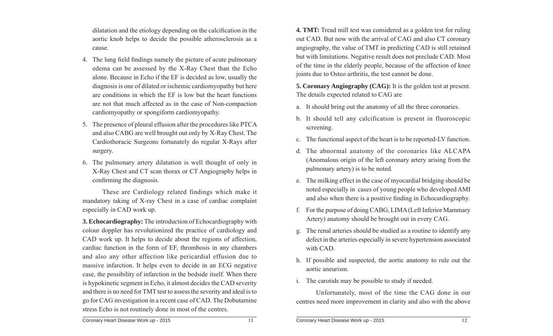dilatation and the etiology depending on the calcification in the aortic knob helps to decide the possible atherosclerosis as a cause.

- 4. The lung field findings namely the picture of acute pulmonary edema can be assessed by the X-Ray Chest than the Echo alone. Because in Echo if the EF is decided as low, usually the diagnosis is one of dilated or ischemic cardiomyopathy but here are conditions in which the EF is low but the heart functions are not that much affected as in the case of Non-compaction cardiomyopathy or spongiform cardiomyopathy.
- 5. The presence of pleural effusion after the procedures like PTCA and also CABG are well brought out only by X-Ray Chest. The Cardiothoracic Surgeons fortunately do regular X-Rays after surgery.
- 6. The pulmonary artery dilatation is well thought of only in X-Ray Chest and CT scan thorax or CT Angiography helps in confirming the diagnosis.

 These are Cardiology related findings which make it mandatory taking of X-ray Chest in a case of cardiac complaint especially in CAD work up.

**3. Echocardiography:** The introduction of Echocardiography with colour doppler has revolutionized the practice of cardiology and CAD work up. It helps to decide about the regions of affection, cardiac function in the form of EF, thrombosis in any chambers and also any other affection like pericardial effusion due to massive infarction. It helps even to decide in an ECG negative case, the possibility of infarction in the bedside itself. When there is hypokinetic segment in Echo, it almost decides the CAD severity and there is no need for TMT test to assess the severity and ideal is to go for CAG investigation in a recent case of CAD. The Dobutamine stress Echo is not routinely done in most of the centres.

**4. TMT:** Tread mill test was considered as a golden test for ruling out CAD. But now with the arrival of CAG and also CT coronary angiography, the value of TMT in predicting CAD is still retained but with limitations. Negative result does not preclude CAD. Most of the time in the elderly people, because of the affection of knee joints due to Osteo arthritis, the test cannot be done.

**5. Coronary Angiography (CAG):** It is the golden test at present. The details expected related to CAG are

- a. It should bring out the anatomy of all the three coronaries.
- b. It should tell any calcification is present in fluoroscopic screening.
- c. The functional aspect of the heart is to be reported-LV function.
- d. The abnormal anatomy of the coronaries like ALCAPA (Anomalous origin of the left coronary artery arising from the pulmonary artery) is to be noted.
- e. The milking effect in the case of myocardial bridging should be noted especially in cases of young people who developed AMI and also when there is a positive finding in Echocardiography.
- f. For the purpose of doing CABG, LIMA (Left Inferior Mammary Artery) anatomy should be brought out in every CAG.
- g. The renal arteries should be studied as a routine to identify any defect in the arteries especially in severe hypertension associated with CAD.
- h. If possible and suspected, the aortic anatomy to rule out the aortic aneurism.
- i. The carotids may be possible to study if needed.

 Unfortunately, most of the time the CAG done in our centres need more improvement in clarity and also with the above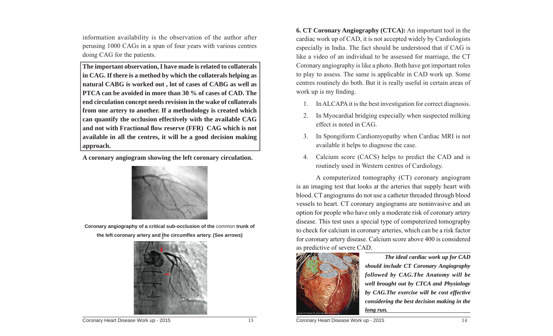information availability is the observation of the author after perusing 1000 CAGs in a span of four years with various centres doing CAG for the patients.

**The important observation, I have made is related to collaterals in CAG. If there is a method by which the collaterals helping as natural CABG is worked out , lot of cases of CABG as well as PTCA can be avoided in more than 30 % of cases of CAD. The end circulation concept needs revision in the wake of collaterals from one artery to another. If a methodology is created which can quantify the occlusion effectively with the available CAG and not with Fractional fl ow reserve (FFR) CAG which is not available in all the centres, it will be a good decision making approach.**

**A coronary angiogram showing the left coronary circulation.** 



**Coronary angiography of a critical sub-occlusion of the** common **trunk of**  the left coronary artery and the circumflex artery. (See arrows)



**6. CT Coronary Angiography (CTCA):** An important tool in the cardiac work up of CAD, it is not accepted widely by Cardiologists especially in India. The fact should be understood that if CAG is like a video of an individual to be assessed for marriage, the CT Coronary angiography is like a photo. Both have got important roles to play to assess. The same is applicable in CAD work up. Some centres routinely do both. But it is really useful in certain areas of work up is my finding.

- 1. In ALCAPA it is the best investigation for correct diagnosis.
- 2. In Myocardial bridging especially when suspected milking effect is noted in CAG.
- 3. In Spongiform Cardiomyopathy when Cardiac MRI is not available it helps to diagnose the case.
- 4. Calcium score (CACS) helps to predict the CAD and is routinely used in Western centres of Cardiology.

 A computerized tomography (CT) coronary angiogram is an imaging test that looks at the arteries that supply heart with blood. CT angiograms do not use a catheter threaded through blood vessels to heart. CT coronary angiograms are noninvasive and an option for people who have only a moderate risk of coronary artery disease. This test uses a special type of computerized tomography to check for calcium in coronary arteries, which can be a risk factor for coronary artery disease. Calcium score above 400 is considered as predictive of severe CAD.



 *The ideal cardiac work up for CAD should include CT Coronary Angiography followed by CAG.The Anatomy will be well brought out by CTCA and Physiology by CAG.The exercise will be cost effective considering the best decision making in the long run.*

Coronary Heart Disease Work up - 2015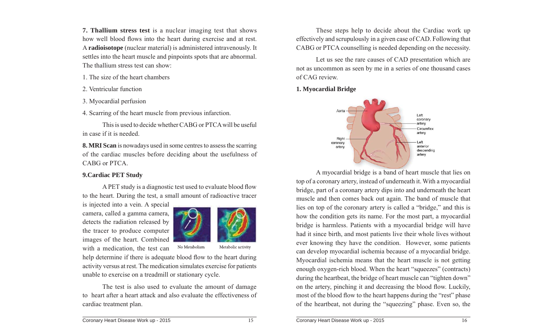**7. Thallium stress test** is a nuclear imaging test that shows how well blood flows into the heart during exercise and at rest. A **radioisotope** (nuclear material) is administered intravenously. It settles into the heart muscle and pinpoints spots that are abnormal. The thallium stress test can show:

1. The size of the heart chambers

2. Ventricular function

3. Myocardial perfusion

4. Scarring of the heart muscle from previous infarction.

 This is used to decide whether CABG or PTCA will be useful in case if it is needed.

**8. MRI Scan** is nowadays used in some centres to assess the scarring of the cardiac muscles before deciding about the usefulness of CABG or PTCA.

#### **9.Cardiac PET Study**

A PET study is a diagnostic test used to evaluate blood flow to the heart. During the test, a small amount of radioactive tracer

is injected into a vein. A special camera, called a gamma camera, detects the radiation released by the tracer to produce computer images of the heart. Combined with a medication, the test can



No Metabolism Metabolic activity

help determine if there is adequate blood flow to the heart during activity versus at rest. The medication simulates exercise for patients unable to exercise on a treadmill or stationary cycle.

 The test is also used to evaluate the amount of damage to heart after a heart attack and also evaluate the effectiveness of cardiac treatment plan.

 These steps help to decide about the Cardiac work up effectively and scrupulously in a given case of CAD. Following that CABG or PTCA counselling is needed depending on the necessity.

 Let us see the rare causes of CAD presentation which are not as uncommon as seen by me in a series of one thousand cases of CAG review.

**1. Myocardial Bridge**



 A myocardial bridge is a band of heart muscle that lies on top of a coronary artery, instead of underneath it. With a myocardial bridge, part of a coronary artery dips into and underneath the heart muscle and then comes back out again. The band of muscle that lies on top of the coronary artery is called a "bridge," and this is how the condition gets its name. For the most part, a myocardial bridge is harmless. Patients with a myocardial bridge will have had it since birth, and most patients live their whole lives without ever knowing they have the condition. However, some patients can develop myocardial ischemia because of a myocardial bridge. Myocardial ischemia means that the heart muscle is not getting enough oxygen-rich blood. When the heart "squeezes" (contracts) during the heartbeat, the bridge of heart muscle can "tighten down" on the artery, pinching it and decreasing the blood flow. Luckily, most of the blood flow to the heart happens during the "rest" phase of the heartbeat, not during the "squeezing" phase. Even so, the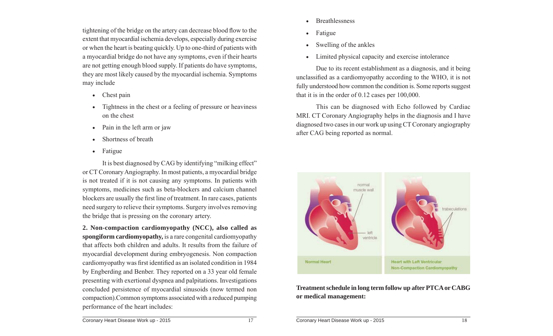tightening of the bridge on the artery can decrease blood flow to the extent that myocardial ischemia develops, especially during exercise or when the heart is beating quickly. Up to one-third of patients with a myocardial bridge do not have any symptoms, even if their hearts are not getting enough blood supply. If patients do have symptoms, they are most likely caused by the myocardial ischemia. Symptoms may include

- Chest pain
- $\bullet$  Tightness in the chest or a feeling of pressure or heaviness on the chest
- $\bullet$ Pain in the left arm or jaw
- $\bullet$ Shortness of breath
- $\bullet$ Fatigue

 It is best diagnosed by CAG by identifying "milking effect" or CT Coronary Angiography. In most patients, a myocardial bridge is not treated if it is not causing any symptoms. In patients with symptoms, medicines such as beta-blockers and calcium channel blockers are usually the first line of treatment. In rare cases, patients need surgery to relieve their symptoms. Surgery involves removing the bridge that is pressing on the coronary artery.

**2. Non-compaction cardiomyopathy (NCC), also called as spongiform cardiomyopathy,** is a rare congenital cardiomyopathy that affects both children and adults. It results from the failure of myocardial development during embryogenesis. Non compaction cardiomyopathy was first identified as an isolated condition in 1984 by Engberding and Benber. They reported on a 33 year old female presenting with exertional dyspnea and palpitations. Investigations concluded persistence of myocardial sinusoids (now termed non compaction).Common symptoms associated with a reduced pumping performance of the heart includes:

- $\bullet$ **Breathlessness**
- $\bullet$ Fatigue
- $\bullet$ Swelling of the ankles
- $\bullet$ Limited physical capacity and exercise intolerance

 Due to its recent establishment as a diagnosis, and it being unclassified as a cardiomyopathy according to the WHO, it is not fully understood how common the condition is. Some reports suggest that it is in the order of 0.12 cases per 100,000.

 This can be diagnosed with Echo followed by Cardiac MRI. CT Coronary Angiography helps in the diagnosis and I have diagnosed two cases in our work up using CT Coronary angiography after CAG being reported as normal.



**Treatment schedule in long term follow up after PTCA or CABG or medical management:**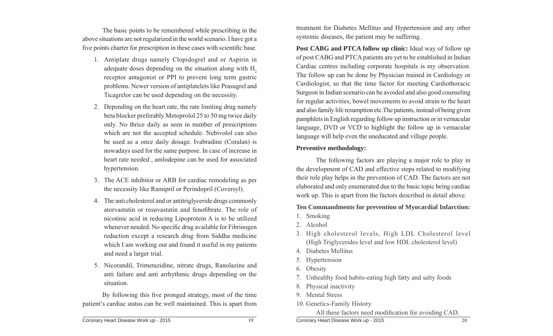The basic points to be remembered while prescribing in the above situations are not regularized in the world scenario. I have got a five points charter for prescription in these cases with scientific base.

- 1. Antiplate drugs namely Clopidogrel and or Aspirin in adequate doses depending on the situation along with H<sub>2</sub> receptor antagonist or PPI to prevent long term gastric problems. Newer version of antiplatelets like Prasugrel and Ticagrelor can be used depending on the necessity.
- 2. Depending on the heart rate, the rate limiting drug namely beta blocker preferably Metoprolol 25 to 50 mg twice daily only. No thrice daily as seen in number of prescriptions which are not the accepted schedule. Nebivolol can also be used as a once daily dosage. Ivabradine (Coralan) is nowadays used for the same purpose. In case of increase in heart rate needed , amlodepine can be used for associated hypertension.
- 3. The ACE inhibitor or ARB for cardiac remodeling as per the necessity like Ramipril or Perindopril (Coversyl).
- 4. The anti cholesterol and or antitriglyceride drugs commonly atorvastatin or resuvastatin and fenofibrate. The role of nicotinic acid in reducing Lipoprotein A is to be utilized whenever needed. No specific drug available for Fibrinogen reduction except a research drug from Siddha medicine which I am working out and found it useful in my patients and need a larger trial.
- 5. Nicorandil, Trimetazidine, nitrate drugs, Ranolazine and anti failure and anti arrhythmic drugs depending on the situation.

By following this five pronged strategy, most of the time patient's cardiac status can be well maintained. This is apart from

Coronary Heart Disease Work up - 2015

treatment for Diabetes Mellitus and Hypertension and any other systemic diseases, the patient may be suffering.

**Post CABG and PTCA follow up clinic:** Ideal way of follow up of post CABG and PTCA patients are yet to be established in Indian Cardiac centres including corporate hospitals is my observation. The follow up can be done by Physician trained in Cardiology or Cardiologist, so that the time factor for meeting Cardiothoracic Surgeon in Indian scenario can be avoided and also good counseling for regular activities, bowel movements to avoid strain to the heart and also family life resumption etc.The patients, instead of being given pamphlets in English regarding follow up instruction or in vernacular language, DVD or VCD to highlight the follow up in vernacular language will help even the uneducated and village people.

#### **Preventive methodology:**

 The following factors are playing a major role to play in the development of CAD and effective steps related to modifying their role play helps in the prevention of CAD. The factors are not elaborated and only enumerated due to the basic topic being cardiac work up. This is apart from the factors described in detail above.

#### **Ten Commandments for prevention of Myocardial Infarction:**

- 1. Smoking
- 2. Alcohol
- 3. High cholesterol levels, High LDL Cholesterol level (High Triglycerides level and low HDL cholesterol level)
- 4. Diabetes Mellitus
- 5. Hypertension
- 6. Obesity
- 7. Unhealthy food habits-eating high fatty and salty foods
- 8. Physical inactivity
- 9. Mental Stress
- 10. Genetics-Family History

All these factors need modification for avoiding CAD.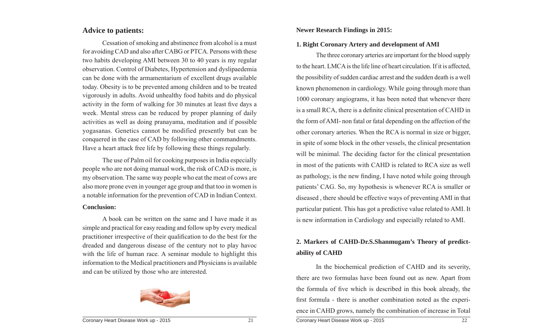#### **Advice to patients:**

 Cessation of smoking and abstinence from alcohol is a must for avoiding CAD and also after CABG or PTCA. Persons with these two habits developing AMI between 30 to 40 years is my regular observation. Control of Diabetes, Hypertension and dyslipaedemia can be done with the armamentarium of excellent drugs available today. Obesity is to be prevented among children and to be treated vigorously in adults. Avoid unhealthy food habits and do physical activity in the form of walking for 30 minutes at least five days a week. Mental stress can be reduced by proper planning of daily activities as well as doing pranayama, meditation and if possible yogasanas. Genetics cannot be modified presently but can be conquered in the case of CAD by following other commandments. Have a heart attack free life by following these things regularly.

 The use of Palm oil for cooking purposes in India especially people who are not doing manual work, the risk of CAD is more, is my observation. The same way people who eat the meat of cows are also more prone even in younger age group and that too in women is a notable information for the prevention of CAD in Indian Context.

#### **Conclusion:**

 A book can be written on the same and I have made it as simple and practical for easy reading and follow up by every medical practitioner irrespective of their qualification to do the best for the dreaded and dangerous disease of the century not to play havoc with the life of human race. A seminar module to highlight this information to the Medical practitioners and Physicians is available and can be utilized by those who are interested.



#### **1. Right Coronary Artery and development of AMI**

 The three coronary arteries are important for the blood supply to the heart. LMCA is the life line of heart circulation. If it is affected, the possibility of sudden cardiac arrest and the sudden death is a well known phenomenon in cardiology. While going through more than 1000 coronary angiograms, it has been noted that whenever there is a small RCA, there is a definite clinical presentation of CAHD in the form of AMI- non fatal or fatal depending on the affection of the other coronary arteries. When the RCA is normal in size or bigger, in spite of some block in the other vessels, the clinical presentation will be minimal. The deciding factor for the clinical presentation in most of the patients with CAHD is related to RCA size as well as pathology, is the new finding, I have noted while going through patients' CAG. So, my hypothesis is whenever RCA is smaller or diseased , there should be effective ways of preventing AMI in that particular patient. This has got a predictive value related to AMI. It is new information in Cardiology and especially related to AMI.

#### **2. Markers of CAHD-Dr.S.Shanmugam's Theory of predictability of CAHD**

Coronary Heart Disease Work up - 2015 22 In the biochemical prediction of CAHD and its severity, there are two formulas have been found out as new. Apart from the formula of five which is described in this book already, the first formula - there is another combination noted as the experience in CAHD grows, namely the combination of increase in Total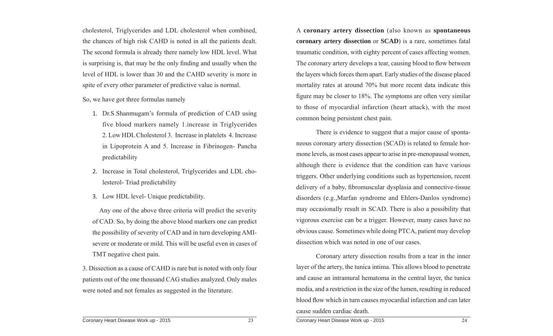cholesterol, Triglycerides and LDL cholesterol when combined, the chances of high risk CAHD is noted in all the patients dealt. The second formula is already there namely low HDL level. What is surprising is, that may be the only finding and usually when the level of HDL is lower than 30 and the CAHD severity is more in spite of every other parameter of predictive value is normal.

So, we have got three formulas namely

- 1. Dr.S.Shanmugam's formula of prediction of CAD using five blood markers namely 1.increase in Triglycerides 2. Low HDL Cholesterol 3. Increase in platelets 4. Increase in Lipoprotein A and 5. Increase in Fibrinogen- Pancha predictability
- 2. Increase in Total cholesterol, Triglycerides and LDL cholesterol- Triad predictability
- 3. Low HDL level- Unique predictability.

 Any one of the above three criteria will predict the severity of CAD. So, by doing the above blood markers one can predict the possibility of severity of CAD and in turn developing AMIsevere or moderate or mild. This will be useful even in cases of TMT negative chest pain.

3. Dissection as a cause of CAHD is rare but is noted with only four patients out of the one thousand CAG studies analyzed. Only males were noted and not females as suggested in the literature.

A **coronary artery dissection** (also known as **spontaneous coronary artery dissection** or **SCAD**) is a rare, sometimes fatal traumatic condition, with eighty percent of cases affecting women. The coronary artery develops a tear, causing blood to flow between the layers which forces them apart. Early studies of the disease placed mortality rates at around 70% but more recent data indicate this figure may be closer to 18%. The symptoms are often very similar to those of myocardial infarction (heart attack), with the most common being persistent chest pain.

 There is evidence to suggest that a major cause of spontaneous coronary artery dissection (SCAD) is related to female hormone levels, as most cases appear to arise in pre-menopausal women, although there is evidence that the condition can have various triggers. Other underlying conditions such as hypertension, recent delivery of a baby, fibromuscular dysplasia and connective-tissue disorders (e.g.,Marfan syndrome and Ehlers-Danlos syndrome) may occasionally result in SCAD. There is also a possibility that vigorous exercise can be a trigger. However, many cases have no obvious cause. Sometimes while doing PTCA, patient may develop dissection which was noted in one of our cases.

 Coronary artery dissection results from a tear in the inner layer of the artery, the tunica intima. This allows blood to penetrate and cause an intramural hematoma in the central layer, the tunica media, and a restriction in the size of the lumen, resulting in reduced blood flow which in turn causes myocardial infarction and can later cause sudden cardiac death.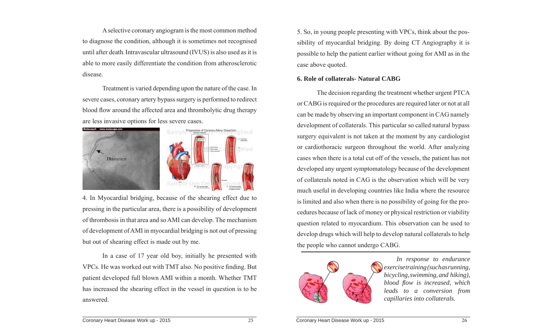A selective coronary angiogram is the most common method to diagnose the condition, although it is sometimes not recognised until after death.Intravascular ultrasound (IVUS) is also used as it is able to more easily differentiate the condition from atherosclerotic disease.

 Treatment is varied depending upon the nature of the case. In severe cases, coronary artery bypass surgery is performed to redirect blood flow around the affected area and thrombolytic drug therapy are less invasive options for less severe cases.



4. In Myocardial bridging, because of the shearing effect due to pressing in the particular area, there is a possibility of development of thrombosis in that area and so AMI can develop. The mechanism of development of AMI in myocardial bridging is not out of pressing but out of shearing effect is made out by me.

 In a case of 17 year old boy, initially he presented with VPCs. He was worked out with TMT also. No positive finding. But patient developed full blown AMI within a month. Whether TMT has increased the shearing effect in the vessel in question is to be answered.

5. So, in young people presenting with VPCs, think about the possibility of myocardial bridging. By doing CT Angiography it is possible to help the patient earlier without going for AMI as in the case above quoted.

#### **6. Role of collaterals- Natural CABG**

 The decision regarding the treatment whether urgent PTCA or CABG is required or the procedures are required later or not at all can be made by observing an important component in CAG namely development of collaterals. This particular so called natural bypass surgery equivalent is not taken at the moment by any cardiologist or cardiothoracic surgeon throughout the world. After analyzing cases when there is a total cut off of the vessels, the patient has not developed any urgent symptomatology because of the development of collaterals noted in CAG is the observation which will be very much useful in developing countries like India where the resource is limited and also when there is no possibility of going for the procedures because of lack of money or physical restriction or viability question related to myocardium. This observation can be used to develop drugs which will help to develop natural collaterals to help the people who cannot undergo CABG.



*In response to endurance exercise training (such as running, bicycling, swimming, and hiking), blood fl ow is increased, which leads to a conversion from capillaries into collaterals.*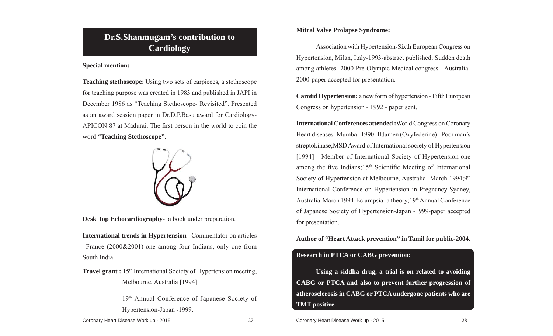#### **Dr.S.Shanmugam's contribution to Cardiology**

#### **Special mention:**

**Teaching stethoscope**: Using two sets of earpieces, a stethoscope for teaching purpose was created in 1983 and published in JAPI in December 1986 as "Teaching Stethoscope- Revisited". Presented as an award session paper in Dr.D.P.Basu award for Cardiology-APICON 87 at Madurai. The first person in the world to coin the word **"Teaching Stethoscope".**



**Desk Top Echocardiography**- a book under preparation.

**International trends in Hypertension** –Commentator on articles –France (2000&2001)-one among four Indians, only one from South India.

**Travel grant :** 15<sup>th</sup> International Society of Hypertension meeting, Melbourne, Australia [1994].

> 19th Annual Conference of Japanese Society of Hypertension-Japan -1999.

**Mitral Valve Prolapse Syndrome:** 

 Association with Hypertension-Sixth European Congress on Hypertension, Milan, Italy-1993-abstract published; Sudden death among athletes- 2000 Pre-Olympic Medical congress - Australia-2000-paper accepted for presentation.

**Carotid Hypertension:** a new form of hypertension - Fifth European Congress on hypertension - 1992 - paper sent.

**International Conferences attended :**World Congress on Coronary Heart diseases- Mumbai-1990- Ildamen (Oxyfederine) –Poor man's streptokinase;MSD Award of International society of Hypertension [1994] - Member of International Society of Hypertension-one among the five Indians;15<sup>th</sup> Scientific Meeting of International Society of Hypertension at Melbourne, Australia- March 1994;9<sup>th</sup> International Conference on Hypertension in Pregnancy-Sydney, Australia-March 1994-Eclampsia- a theory; 19<sup>th</sup> Annual Conference of Japanese Society of Hypertension-Japan -1999-paper accepted for presentation.

**Author of "Heart Attack prevention" in Tamil for public-2004.**

#### **Research in PTCA or CABG prevention:**

**Using a siddha drug, a trial is on related to avoiding CABG or PTCA and also to prevent further progression of atherosclerosis in CABG or PTCA undergone patients who are TMT positive.**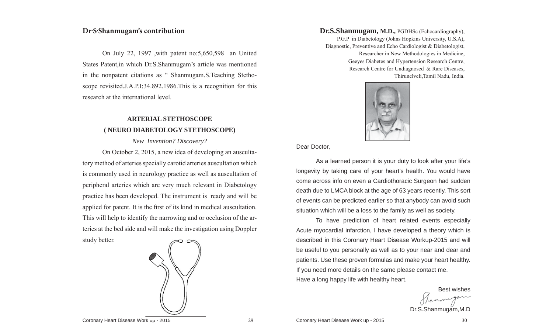#### **Dr.S.Shanmugam's contribution**

On July 22, 1997 ,with patent no:5,650,598 an United States Patent,in which Dr.S.Shanmugam's article was mentioned in the nonpatent citations as " Shanmugam.S.Teaching Stethoscope revisited.J.A.P.I;34.892.1986.This is a recognition for this research at the international level.

#### **ARTERIAL STETHOSCOPE ( NEURO DIABETOLOGY STETHOSCOPE)**

*New Invention? Discovery?*

 On October 2, 2015, a new idea of developing an auscultatory method of arteries specially carotid arteries auscultation which is commonly used in neurology practice as well as auscultation of peripheral arteries which are very much relevant in Diabetology practice has been developed. The instrument is ready and will be applied for patent. It is the first of its kind in medical auscultation. This will help to identify the narrowing and or occlusion of the arteries at the bed side and will make the investigation using Doppler study better.



P.G.P in Diabetology (Johns Hopkins University, U.S.A), Diagnostic, Preventive and Echo Cardiologist & Diabetologist, Researcher in New Methodologies in Medicine, Geeyes Diabetes and Hypertension Research Centre, Research Centre for Undiagnosed & Rare Diseases, Thirunelveli,Tamil Nadu, India.



Dear Doctor,

 As a learned person it is your duty to look after your life's longevity by taking care of your heart's health. You would have come across info on even a Cardiothoracic Surgeon had sudden death due to LMCA block at the age of 63 years recently. This sort of events can be predicted earlier so that anybody can avoid such situation which will be a loss to the family as well as society.

 To have prediction of heart related events especially Acute myocardial infarction, I have developed a theory which is described in this Coronary Heart Disease Workup-2015 and will be useful to you personally as well as to your near and dear and patients. Use these proven formulas and make your heart healthy. If you need more details on the same please contact me. Have a long happy life with healthy heart. **Dr.S.Shanmugam, M.D.**, PGDHSc (Echocardiography),<br>
P.G.P in Diabetology (Johns Hopkins University, U.S.A),<br>
Diagnostic, Preventive and Ehot Carlolologist & Diabetologist,<br>
Researcher in New Methodologies in Medicine,<br>
Gre

Best wishes thanne Dr.S.Shanmugam,M.D

Coronary Heart Disease Work up - 2015 **29** and the coronary Heart Disease Work up - 2015